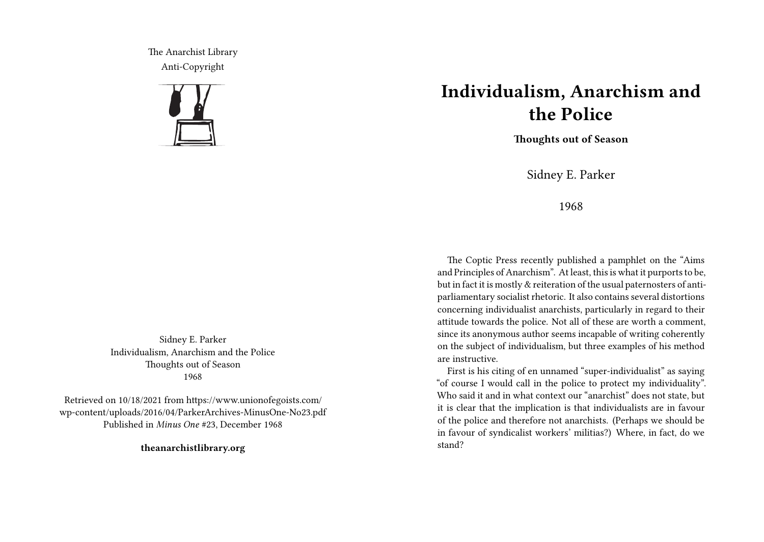The Anarchist Library Anti-Copyright



Sidney E. Parker Individualism, Anarchism and the Police Thoughts out of Season 1968

Retrieved on 10/18/2021 from https://www.unionofegoists.com/ wp-content/uploads/2016/04/ParkerArchives-MinusOne-No23.pdf Published in *Minus One* #23, December 1968

**theanarchistlibrary.org**

## **Individualism, Anarchism and the Police**

**Thoughts out of Season**

Sidney E. Parker

1968

The Coptic Press recently published a pamphlet on the "Aims and Principles of Anarchism". At least, this is what it purports to be, but in fact it is mostly & reiteration of the usual paternosters of antiparliamentary socialist rhetoric. It also contains several distortions concerning individualist anarchists, particularly in regard to their attitude towards the police. Not all of these are worth a comment, since its anonymous author seems incapable of writing coherently on the subject of individualism, but three examples of his method are instructive.

First is his citing of en unnamed "super-individualist" as saying "of course I would call in the police to protect my individuality". Who said it and in what context our "anarchist" does not state, but it is clear that the implication is that individualists are in favour of the police and therefore not anarchists. (Perhaps we should be in favour of syndicalist workers' militias?) Where, in fact, do we stand?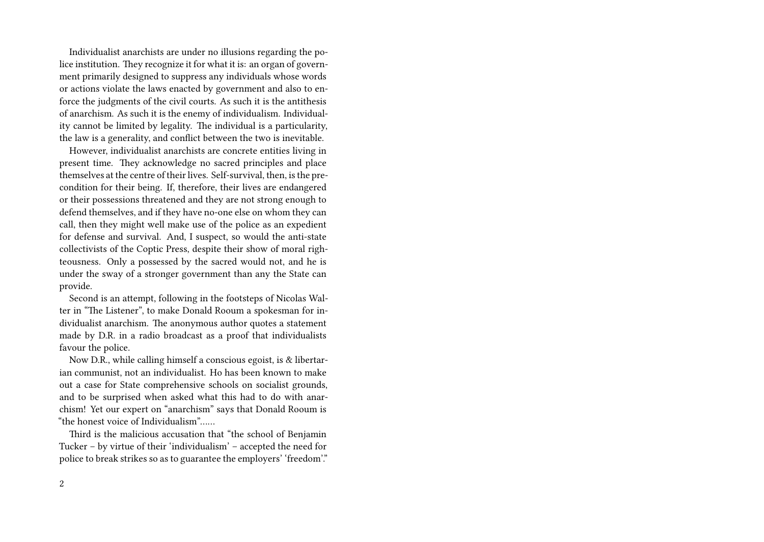Individualist anarchists are under no illusions regarding the police institution. They recognize it for what it is: an organ of government primarily designed to suppress any individuals whose words or actions violate the laws enacted by government and also to enforce the judgments of the civil courts. As such it is the antithesis of anarchism. As such it is the enemy of individualism. Individuality cannot be limited by legality. The individual is a particularity, the law is a generality, and conflict between the two is inevitable.

However, individualist anarchists are concrete entities living in present time. They acknowledge no sacred principles and place themselves at the centre of their lives. Self-survival, then, is the precondition for their being. If, therefore, their lives are endangered or their possessions threatened and they are not strong enough to defend themselves, and if they have no-one else on whom they can call, then they might well make use of the police as an expedient for defense and survival. And, I suspect, so would the anti-state collectivists of the Coptic Press, despite their show of moral righteousness. Only a possessed by the sacred would not, and he is under the sway of a stronger government than any the State can provide.

Second is an attempt, following in the footsteps of Nicolas Walter in "The Listener", to make Donald Rooum a spokesman for individualist anarchism. The anonymous author quotes a statement made by D.R. in a radio broadcast as a proof that individualists favour the police.

Now D.R., while calling himself a conscious egoist, is & libertarian communist, not an individualist. Ho has been known to make out a case for State comprehensive schools on socialist grounds, and to be surprised when asked what this had to do with anarchism! Yet our expert on "anarchism" says that Donald Rooum is "the honest voice of Individualism"……

Third is the malicious accusation that "the school of Benjamin Tucker – by virtue of their 'individualism' – accepted the need for police to break strikes so as to guarantee the employers' 'freedom'."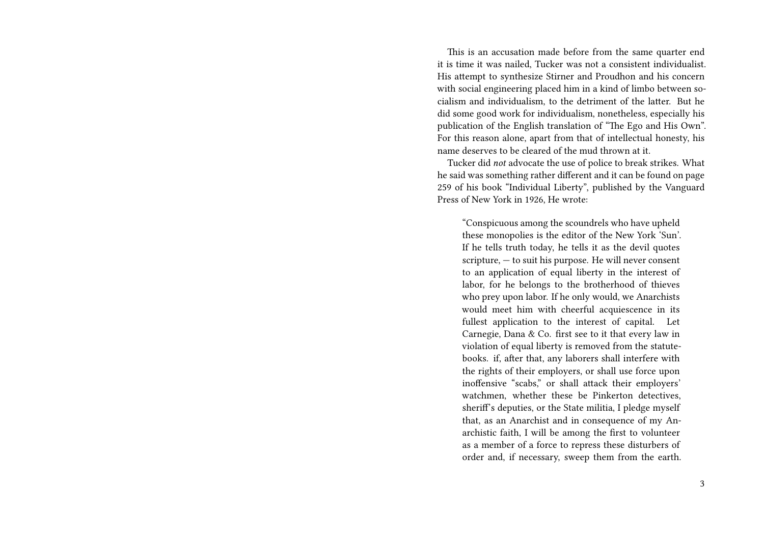This is an accusation made before from the same quarter end it is time it was nailed, Tucker was not a consistent individualist. His attempt to synthesize Stirner and Proudhon and his concern with social engineering placed him in a kind of limbo between socialism and individualism, to the detriment of the latter. But he did some good work for individualism, nonetheless, especially his publication of the English translation of "The Ego and His Own". For this reason alone, apart from that of intellectual honesty, his name deserves to be cleared of the mud thrown at it.

Tucker did *not* advocate the use of police to break strikes. What he said was something rather different and it can be found on page 259 of his book "Individual Liberty", published by the Vanguard Press of New York in 1926, He wrote:

"Conspicuous among the scoundrels who have upheld these monopolies is the editor of the New York 'Sun'. If he tells truth today, he tells it as the devil quotes scripture, — to suit his purpose. He will never consent to an application of equal liberty in the interest of labor, for he belongs to the brotherhood of thieves who prey upon labor. If he only would, we Anarchists would meet him with cheerful acquiescence in its fullest application to the interest of capital. Let Carnegie, Dana & Co. first see to it that every law in violation of equal liberty is removed from the statutebooks. if, after that, any laborers shall interfere with the rights of their employers, or shall use force upon inoffensive "scabs," or shall attack their employers' watchmen, whether these be Pinkerton detectives, sherif's deputies, or the State militia, I pledge myself that, as an Anarchist and in consequence of my Anarchistic faith, I will be among the first to volunteer as a member of a force to repress these disturbers of order and, if necessary, sweep them from the earth.